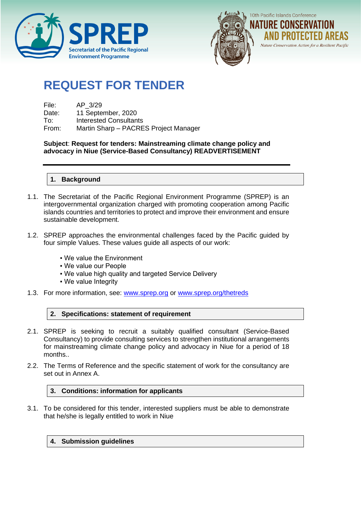



# **REQUEST FOR TENDER**

| File: | AP 3/29                               |
|-------|---------------------------------------|
| Date: | 11 September, 2020                    |
| To:   | Interested Consultants                |
| From: | Martin Sharp - PACRES Project Manager |

**Subject**: **Request for tenders: Mainstreaming climate change policy and advocacy in Niue (Service-Based Consultancy) READVERTISEMENT**

# **1. Background**

- 1.1. The Secretariat of the Pacific Regional Environment Programme (SPREP) is an intergovernmental organization charged with promoting cooperation among Pacific islands countries and territories to protect and improve their environment and ensure sustainable development.
- 1.2. SPREP approaches the environmental challenges faced by the Pacific guided by four simple Values. These values guide all aspects of our work:
	- We value the Environment
	- We value our People
	- . We value high quality and targeted Service Delivery
	- We value Integrity
- 1.3. For more information, see: [www.sprep.org](http://www.sprep.org/) or [www.sprep.org/thetreds](http://www.sprep.org/thetreds)

# **2. Specifications: statement of requirement**

- 2.1. SPREP is seeking to recruit a suitably qualified consultant (Service-Based Consultancy) to provide consulting services to strengthen institutional arrangements for mainstreaming climate change policy and advocacy in Niue for a period of 18 months..
- 2.2. The Terms of Reference and the specific statement of work for the consultancy are set out in Annex A.

# **3. Conditions: information for applicants**

3.1. To be considered for this tender, interested suppliers must be able to demonstrate that he/she is legally entitled to work in Niue

# **4. Submission guidelines**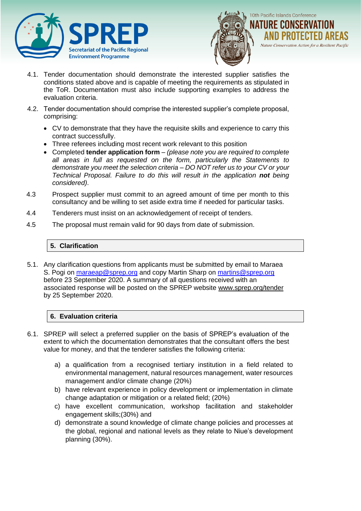



- 4.1. Tender documentation should demonstrate the interested supplier satisfies the conditions stated above and is capable of meeting the requirements as stipulated in the ToR. Documentation must also include supporting examples to address the evaluation criteria.
- 4.2. Tender documentation should comprise the interested supplier's complete proposal, comprising:
	- CV to demonstrate that they have the requisite skills and experience to carry this contract successfully.
	- Three referees including most recent work relevant to this position
	- Completed **tender application form** *(please note you are required to complete all areas in full as requested on the form, particularly the Statements to demonstrate you meet the selection criteria – DO NOT refer us to your CV or your Technical Proposal. Failure to do this will result in the application not being considered)*.
- 4.3 Prospect supplier must commit to an agreed amount of time per month to this consultancy and be willing to set aside extra time if needed for particular tasks.
- 4.4 Tenderers must insist on an acknowledgement of receipt of tenders.
- 4.5 The proposal must remain valid for 90 days from date of submission.

# **5. Clarification**

5.1. Any clarification questions from applicants must be submitted by email to Maraea S. Pogi on [maraeap@sprep.org](mailto:maraeap@sprep.org) and copy Martin Sharp on [martins@sprep.org](mailto:martins@sprep.org) before 23 September 2020. A summary of all questions received with an associated response will be posted on the SPREP website www.sprep.org/tender by 25 September 2020.

# **6. Evaluation criteria**

- 6.1. SPREP will select a preferred supplier on the basis of SPREP's evaluation of the extent to which the documentation demonstrates that the consultant offers the best value for money, and that the tenderer satisfies the following criteria:
	- a) a qualification from a recognised tertiary institution in a field related to environmental management, natural resources management, water resources management and/or climate change (20%)
	- b) have relevant experience in policy development or implementation in climate change adaptation or mitigation or a related field; (20%)
	- c) have excellent communication, workshop facilitation and stakeholder engagement skills;(30%) and
	- d) demonstrate a sound knowledge of climate change policies and processes at the global, regional and national levels as they relate to Niue's development planning (30%).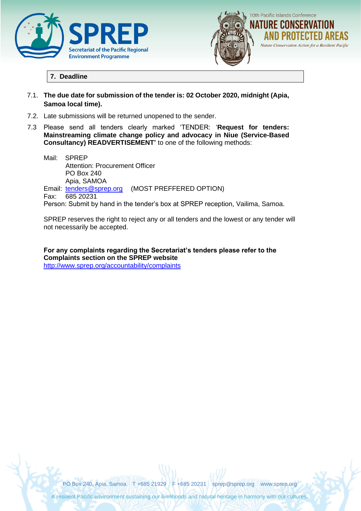



# **7. Deadline**

- 7.1. **The due date for submission of the tender is: 02 October 2020, midnight (Apia, Samoa local time).**
- 7.2. Late submissions will be returned unopened to the sender.
- 7.3 Please send all tenders clearly marked 'TENDER: '**Request for tenders: Mainstreaming climate change policy and advocacy in Niue (Service-Based Consultancy) READVERTISEMENT'** to one of the following methods:

Mail: SPREP Attention: Procurement Officer PO Box 240 Apia, SAMOA Email: [tenders@sprep.org](mailto:tenders@sprep.org) (MOST PREFFERED OPTION) Fax: 685 20231 Person: Submit by hand in the tender's box at SPREP reception, Vailima, Samoa.

SPREP reserves the right to reject any or all tenders and the lowest or any tender will not necessarily be accepted.

**For any complaints regarding the Secretariat's tenders please refer to the Complaints section on the SPREP website** <http://www.sprep.org/accountability/complaints>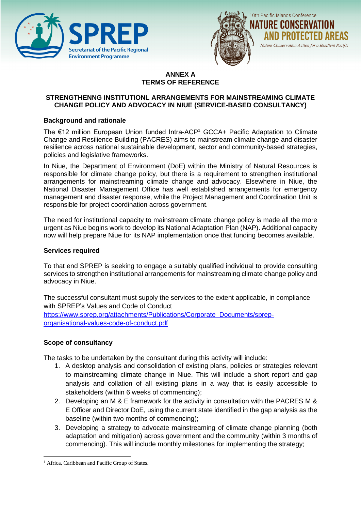



#### **ANNEX A TERMS OF REFERENCE**

# **STRENGTHENNG INSTITUTIONL ARRANGEMENTS FOR MAINSTREAMING CLIMATE CHANGE POLICY AND ADVOCACY IN NIUE (SERVICE-BASED CONSULTANCY)**

# **Background and rationale**

The €12 million European Union funded Intra-ACP<sup>1</sup> GCCA+ Pacific Adaptation to Climate Change and Resilience Building (PACRES) aims to mainstream climate change and disaster resilience across national sustainable development, sector and community-based strategies, policies and legislative frameworks.

In Niue, the Department of Environment (DoE) within the Ministry of Natural Resources is responsible for climate change policy, but there is a requirement to strengthen institutional arrangements for mainstreaming climate change and advocacy. Elsewhere in Niue, the National Disaster Management Office has well established arrangements for emergency management and disaster response, while the Project Management and Coordination Unit is responsible for project coordination across government.

The need for institutional capacity to mainstream climate change policy is made all the more urgent as Niue begins work to develop its National Adaptation Plan (NAP). Additional capacity now will help prepare Niue for its NAP implementation once that funding becomes available.

# **Services required**

To that end SPREP is seeking to engage a suitably qualified individual to provide consulting services to strengthen institutional arrangements for mainstreaming climate change policy and advocacy in Niue.

The successful consultant must supply the services to the extent applicable, in compliance with SPREP's Values and Code of Conduct

[https://www.sprep.org/attachments/Publications/Corporate\\_Documents/sprep](https://www.sprep.org/attachments/Publications/Corporate_Documents/sprep-organisational-values-code-of-conduct.pdf)[organisational-values-code-of-conduct.pdf](https://www.sprep.org/attachments/Publications/Corporate_Documents/sprep-organisational-values-code-of-conduct.pdf)

# **Scope of consultancy**

The tasks to be undertaken by the consultant during this activity will include:

- 1. A desktop analysis and consolidation of existing plans, policies or strategies relevant to mainstreaming climate change in Niue. This will include a short report and gap analysis and collation of all existing plans in a way that is easily accessible to stakeholders (within 6 weeks of commencing);
- 2. Developing an M & E framework for the activity in consultation with the PACRES M & E Officer and Director DoE, using the current state identified in the gap analysis as the baseline (within two months of commencing);
- 3. Developing a strategy to advocate mainstreaming of climate change planning (both adaptation and mitigation) across government and the community (within 3 months of commencing). This will include monthly milestones for implementing the strategy;

<sup>&</sup>lt;sup>1</sup> Africa, Caribbean and Pacific Group of States.